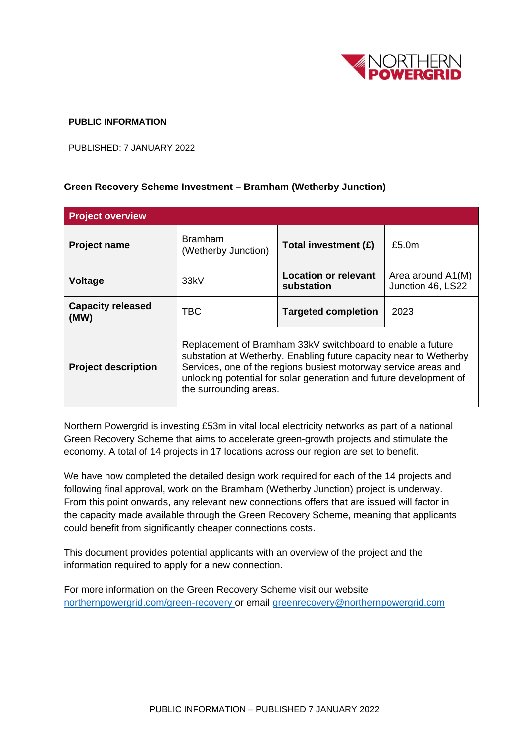

## **PUBLIC INFORMATION**

PUBLISHED: 7 JANUARY 2022

## **Green Recovery Scheme Investment – Bramham (Wetherby Junction)**

| <b>Project overview</b>          |                                                                                                                                                                                                                                                                                                    |                                           |                                        |
|----------------------------------|----------------------------------------------------------------------------------------------------------------------------------------------------------------------------------------------------------------------------------------------------------------------------------------------------|-------------------------------------------|----------------------------------------|
| <b>Project name</b>              | <b>Bramham</b><br>(Wetherby Junction)                                                                                                                                                                                                                                                              | Total investment (£)                      | £5.0 <sub>m</sub>                      |
| <b>Voltage</b>                   | 33kV                                                                                                                                                                                                                                                                                               | <b>Location or relevant</b><br>substation | Area around A1(M)<br>Junction 46, LS22 |
| <b>Capacity released</b><br>(MW) | TBC                                                                                                                                                                                                                                                                                                | <b>Targeted completion</b>                | 2023                                   |
| <b>Project description</b>       | Replacement of Bramham 33kV switchboard to enable a future<br>substation at Wetherby. Enabling future capacity near to Wetherby<br>Services, one of the regions busiest motorway service areas and<br>unlocking potential for solar generation and future development of<br>the surrounding areas. |                                           |                                        |

Northern Powergrid is investing £53m in vital local electricity networks as part of a national Green Recovery Scheme that aims to accelerate green-growth projects and stimulate the economy. A total of 14 projects in 17 locations across our region are set to benefit.

We have now completed the detailed design work required for each of the 14 projects and following final approval, work on the Bramham (Wetherby Junction) project is underway. From this point onwards, any relevant new connections offers that are issued will factor in the capacity made available through the Green Recovery Scheme, meaning that applicants could benefit from significantly cheaper connections costs.

This document provides potential applicants with an overview of the project and the information required to apply for a new connection.

For more information on the Green Recovery Scheme visit our website [northernpowergrid.com/green-recovery](https://www.northernpowergrid.com/green-recovery) or email [greenrecovery@northernpowergrid.com](mailto:greenrecovery@northernpowergrid.com)